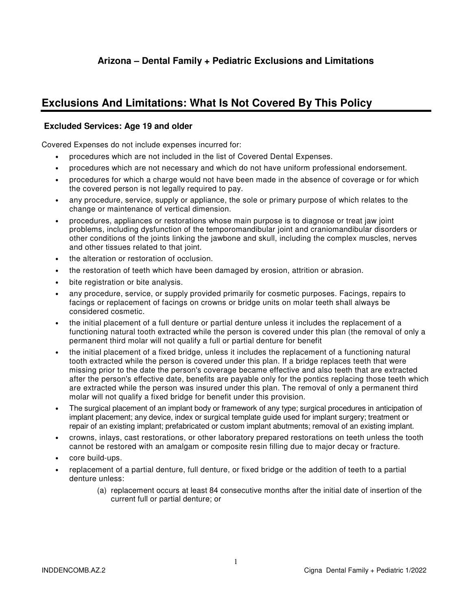# **Exclusions And Limitations: What Is Not Covered By This Policy**

### **Excluded Services: Age 19 and older**

Covered Expenses do not include expenses incurred for:

- procedures which are not included in the list of Covered Dental Expenses.
- procedures which are not necessary and which do not have uniform professional endorsement.
- procedures for which a charge would not have been made in the absence of coverage or for which the covered person is not legally required to pay.
- any procedure, service, supply or appliance, the sole or primary purpose of which relates to the change or maintenance of vertical dimension.
- procedures, appliances or restorations whose main purpose is to diagnose or treat jaw joint problems, including dysfunction of the temporomandibular joint and craniomandibular disorders or other conditions of the joints linking the jawbone and skull, including the complex muscles, nerves and other tissues related to that joint.
- the alteration or restoration of occlusion.
- the restoration of teeth which have been damaged by erosion, attrition or abrasion.
- bite registration or bite analysis.
- any procedure, service, or supply provided primarily for cosmetic purposes. Facings, repairs to facings or replacement of facings on crowns or bridge units on molar teeth shall always be considered cosmetic.
- the initial placement of a full denture or partial denture unless it includes the replacement of a functioning natural tooth extracted while the person is covered under this plan (the removal of only a permanent third molar will not qualify a full or partial denture for benefit
- the initial placement of a fixed bridge, unless it includes the replacement of a functioning natural tooth extracted while the person is covered under this plan. If a bridge replaces teeth that were missing prior to the date the person's coverage became effective and also teeth that are extracted after the person's effective date, benefits are payable only for the pontics replacing those teeth which are extracted while the person was insured under this plan. The removal of only a permanent third molar will not qualify a fixed bridge for benefit under this provision.
- The surgical placement of an implant body or framework of any type; surgical procedures in anticipation of implant placement; any device, index or surgical template guide used for implant surgery; treatment or repair of an existing implant; prefabricated or custom implant abutments; removal of an existing implant.
- crowns, inlays, cast restorations, or other laboratory prepared restorations on teeth unless the tooth cannot be restored with an amalgam or composite resin filling due to major decay or fracture.
- core build-ups.
- replacement of a partial denture, full denture, or fixed bridge or the addition of teeth to a partial denture unless:
	- (a) replacement occurs at least 84 consecutive months after the initial date of insertion of the current full or partial denture; or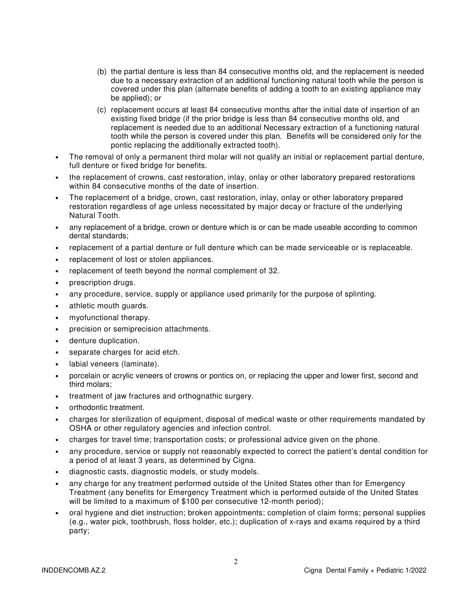- (b) the partial denture is less than 84 consecutive months old, and the replacement is needed due to a necessary extraction of an additional functioning natural tooth while the person is covered under this plan (alternate benefits of adding a tooth to an existing appliance may be applied); or
- (c) replacement occurs at least 84 consecutive months after the initial date of insertion of an existing fixed bridge (if the prior bridge is less than 84 consecutive months old, and replacement is needed due to an additional Necessary extraction of a functioning natural tooth while the person is covered under this plan. Benefits will be considered only for the pontic replacing the additionally extracted tooth).
- The removal of only a permanent third molar will not qualify an initial or replacement partial denture, full denture or fixed bridge for benefits.
- the replacement of crowns, cast restoration, inlay, onlay or other laboratory prepared restorations within 84 consecutive months of the date of insertion.
- The replacement of a bridge, crown, cast restoration, inlay, onlay or other laboratory prepared restoration regardless of age unless necessitated by major decay or fracture of the underlying Natural Tooth.
- any replacement of a bridge, crown or denture which is or can be made useable according to common dental standards;
- replacement of a partial denture or full denture which can be made serviceable or is replaceable.
- replacement of lost or stolen appliances.
- replacement of teeth beyond the normal complement of 32.
- prescription drugs.
- any procedure, service, supply or appliance used primarily for the purpose of splinting.
- athletic mouth guards.
- myofunctional therapy.
- precision or semiprecision attachments.
- denture duplication.
- separate charges for acid etch.
- labial veneers (laminate).
- porcelain or acrylic veneers of crowns or pontics on, or replacing the upper and lower first, second and third molars;
- treatment of jaw fractures and orthognathic surgery.
- orthodontic treatment.
- charges for sterilization of equipment, disposal of medical waste or other requirements mandated by OSHA or other regulatory agencies and infection control.
- charges for travel time; transportation costs; or professional advice given on the phone.
- any procedure, service or supply not reasonably expected to correct the patient's dental condition for a period of at least 3 years, as determined by Cigna.
- diagnostic casts, diagnostic models, or study models.
- any charge for any treatment performed outside of the United States other than for Emergency Treatment (any benefits for Emergency Treatment which is performed outside of the United States will be limited to a maximum of \$100 per consecutive 12-month period);
- oral hygiene and diet instruction; broken appointments; completion of claim forms; personal supplies (e.g., water pick, toothbrush, floss holder, etc.); duplication of x-rays and exams required by a third party;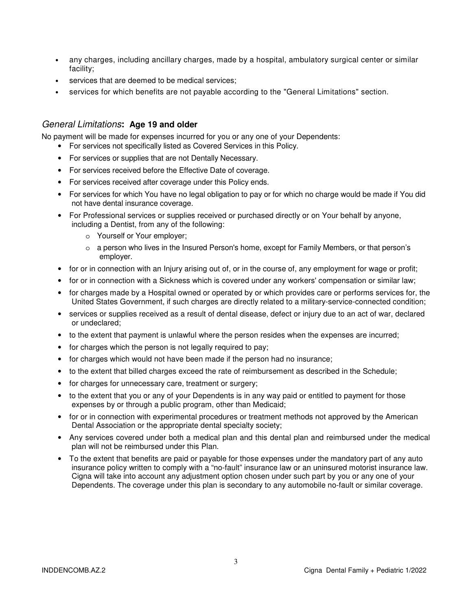- any charges, including ancillary charges, made by a hospital, ambulatory surgical center or similar facility;
- services that are deemed to be medical services;
- services for which benefits are not payable according to the "General Limitations" section.

#### General Limitations**: Age 19 and older**

No payment will be made for expenses incurred for you or any one of your Dependents:

- For services not specifically listed as Covered Services in this Policy.
- For services or supplies that are not Dentally Necessary.
- For services received before the Effective Date of coverage.
- For services received after coverage under this Policy ends.
- For services for which You have no legal obligation to pay or for which no charge would be made if You did not have dental insurance coverage.
- For Professional services or supplies received or purchased directly or on Your behalf by anyone, including a Dentist, from any of the following:
	- o Yourself or Your employer;
	- $\circ$  a person who lives in the Insured Person's home, except for Family Members, or that person's employer.
- for or in connection with an Injury arising out of, or in the course of, any employment for wage or profit;
- for or in connection with a Sickness which is covered under any workers' compensation or similar law;
- for charges made by a Hospital owned or operated by or which provides care or performs services for, the United States Government, if such charges are directly related to a military-service-connected condition;
- services or supplies received as a result of dental disease, defect or injury due to an act of war, declared or undeclared;
- to the extent that payment is unlawful where the person resides when the expenses are incurred;
- for charges which the person is not legally required to pay;
- for charges which would not have been made if the person had no insurance;
- to the extent that billed charges exceed the rate of reimbursement as described in the Schedule;
- for charges for unnecessary care, treatment or surgery;
- to the extent that you or any of your Dependents is in any way paid or entitled to payment for those expenses by or through a public program, other than Medicaid;
- for or in connection with experimental procedures or treatment methods not approved by the American Dental Association or the appropriate dental specialty society;
- Any services covered under both a medical plan and this dental plan and reimbursed under the medical plan will not be reimbursed under this Plan.
- To the extent that benefits are paid or payable for those expenses under the mandatory part of any auto insurance policy written to comply with a "no-fault" insurance law or an uninsured motorist insurance law. Cigna will take into account any adjustment option chosen under such part by you or any one of your Dependents. The coverage under this plan is secondary to any automobile no-fault or similar coverage.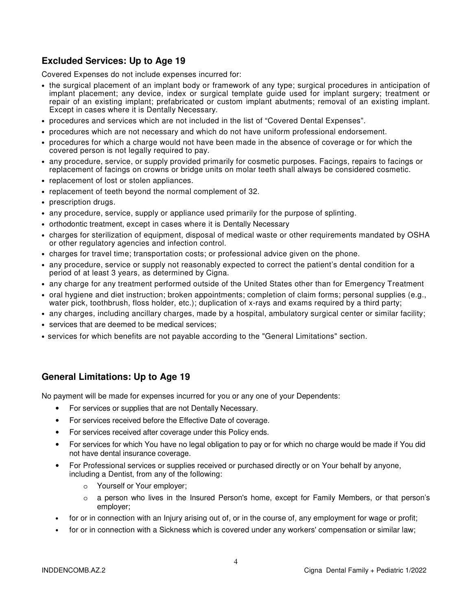## **Excluded Services: Up to Age 19**

Covered Expenses do not include expenses incurred for:

- the surgical placement of an implant body or framework of any type; surgical procedures in anticipation of implant placement; any device, index or surgical template guide used for implant surgery; treatment or repair of an existing implant; prefabricated or custom implant abutments; removal of an existing implant. Except in cases where it is Dentally Necessary.
- procedures and services which are not included in the list of "Covered Dental Expenses".
- procedures which are not necessary and which do not have uniform professional endorsement.
- procedures for which a charge would not have been made in the absence of coverage or for which the covered person is not legally required to pay.
- any procedure, service, or supply provided primarily for cosmetic purposes. Facings, repairs to facings or replacement of facings on crowns or bridge units on molar teeth shall always be considered cosmetic.
- replacement of lost or stolen appliances.
- replacement of teeth beyond the normal complement of 32.
- prescription drugs.
- any procedure, service, supply or appliance used primarily for the purpose of splinting.
- orthodontic treatment, except in cases where it is Dentally Necessary
- charges for sterilization of equipment, disposal of medical waste or other requirements mandated by OSHA or other regulatory agencies and infection control.
- charges for travel time; transportation costs; or professional advice given on the phone.
- any procedure, service or supply not reasonably expected to correct the patient's dental condition for a period of at least 3 years, as determined by Cigna.
- any charge for any treatment performed outside of the United States other than for Emergency Treatment
- oral hygiene and diet instruction; broken appointments; completion of claim forms; personal supplies (e.g., water pick, toothbrush, floss holder, etc.); duplication of x-rays and exams required by a third party;
- any charges, including ancillary charges, made by a hospital, ambulatory surgical center or similar facility;
- services that are deemed to be medical services;
- services for which benefits are not payable according to the "General Limitations" section.

## **General Limitations: Up to Age 19**

No payment will be made for expenses incurred for you or any one of your Dependents:

- For services or supplies that are not Dentally Necessary.
- For services received before the Effective Date of coverage.
- For services received after coverage under this Policy ends.
- For services for which You have no legal obligation to pay or for which no charge would be made if You did not have dental insurance coverage.
- For Professional services or supplies received or purchased directly or on Your behalf by anyone, including a Dentist, from any of the following:
	- o Yourself or Your employer;
	- o a person who lives in the Insured Person's home, except for Family Members, or that person's employer;
- for or in connection with an Injury arising out of, or in the course of, any employment for wage or profit;
- for or in connection with a Sickness which is covered under any workers' compensation or similar law;